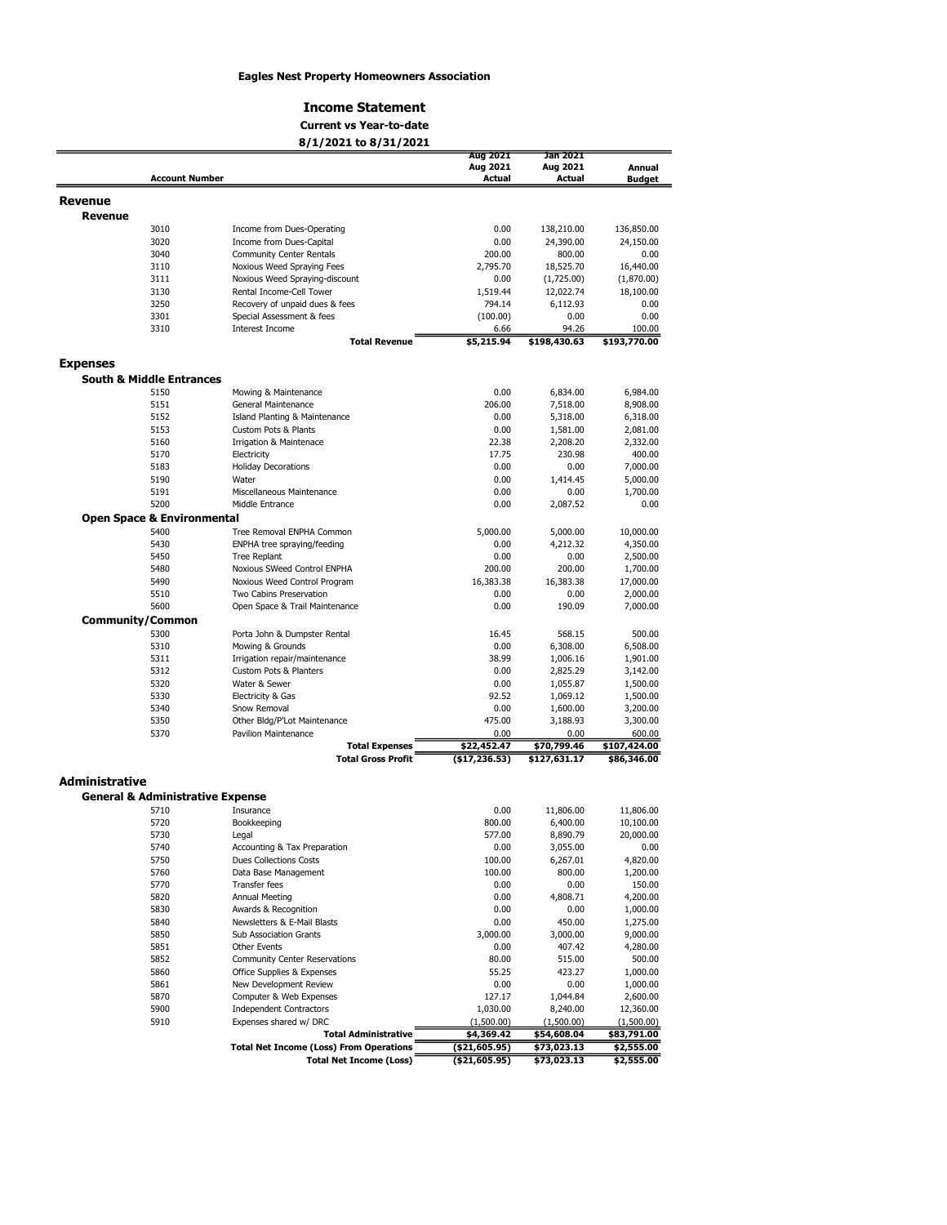#### Eagles Nest Property Homeowners Association

### Income Statement

#### 8/1/2021 to 8/31/2021 Current vs Year-to-date

|                                             |                                       | 07 17 2021 W 07 317 2021                                                      |                              |                            |                           |
|---------------------------------------------|---------------------------------------|-------------------------------------------------------------------------------|------------------------------|----------------------------|---------------------------|
|                                             |                                       |                                                                               | Aug 2021<br>Aug 2021         | Jan 2021<br>Aug 2021       | Annual                    |
|                                             | <b>Account Number</b>                 |                                                                               | <b>Actual</b>                | Actual                     | <b>Budget</b>             |
|                                             |                                       |                                                                               |                              |                            |                           |
| Revenue                                     |                                       |                                                                               |                              |                            |                           |
| <b>Revenue</b>                              |                                       |                                                                               |                              |                            |                           |
|                                             | 3010                                  | Income from Dues-Operating                                                    | 0.00                         | 138,210.00                 | 136,850.00                |
|                                             | 3020                                  | Income from Dues-Capital                                                      | 0.00                         | 24,390.00                  | 24,150.00                 |
|                                             | 3040                                  | Community Center Rentals                                                      | 200.00                       | 800.00                     | 0.00                      |
|                                             | 3110                                  | Noxious Weed Spraying Fees                                                    | 2,795.70                     | 18,525.70                  | 16,440.00                 |
|                                             | 3111                                  | Noxious Weed Spraying-discount                                                | 0.00                         | (1,725.00)                 | (1,870.00)                |
|                                             | 3130                                  | Rental Income-Cell Tower                                                      | 1,519.44                     | 12,022.74                  | 18,100.00                 |
|                                             | 3250                                  | Recovery of unpaid dues & fees                                                | 794.14                       | 6,112.93                   | 0.00                      |
|                                             | 3301                                  | Special Assessment & fees                                                     | (100.00)                     | 0.00                       | 0.00                      |
|                                             | 3310                                  | Interest Income                                                               | 6.66                         | 94.26                      | 100.00                    |
|                                             |                                       | <b>Total Revenue</b>                                                          | \$5,215.94                   | \$198,430.63               | \$193,770.00              |
| <b>Expenses</b>                             |                                       |                                                                               |                              |                            |                           |
|                                             | <b>South &amp; Middle Entrances</b>   |                                                                               |                              |                            |                           |
|                                             | 5150                                  | Mowing & Maintenance                                                          | 0.00                         | 6,834.00                   | 6,984.00                  |
|                                             | 5151                                  | General Maintenance                                                           | 206.00                       | 7,518.00                   | 8,908.00                  |
|                                             | 5152                                  | Island Planting & Maintenance                                                 | 0.00                         | 5,318.00                   | 6,318.00                  |
|                                             | 5153                                  | Custom Pots & Plants                                                          | 0.00                         | 1,581.00                   | 2,081.00                  |
|                                             | 5160                                  | Irrigation & Maintenace                                                       | 22.38                        | 2,208.20                   | 2,332.00                  |
|                                             | 5170                                  | Electricity                                                                   | 17.75                        | 230.98                     | 400.00                    |
|                                             | 5183                                  | <b>Holiday Decorations</b>                                                    | 0.00                         | 0.00                       | 7,000.00                  |
|                                             | 5190                                  | Water                                                                         | 0.00                         | 1,414.45                   | 5,000.00                  |
|                                             | 5191                                  | Miscellaneous Maintenance                                                     | 0.00                         | 0.00                       | 1,700.00                  |
|                                             | 5200                                  | Middle Entrance                                                               | 0.00                         | 2,087.52                   | 0.00                      |
|                                             | <b>Open Space &amp; Environmental</b> |                                                                               |                              |                            |                           |
|                                             | 5400                                  | Tree Removal ENPHA Common                                                     |                              |                            |                           |
|                                             | 5430                                  | ENPHA tree spraying/feeding                                                   | 5,000.00<br>0.00             | 5,000.00                   | 10,000.00<br>4,350.00     |
|                                             | 5450                                  | Tree Replant                                                                  | 0.00                         | 4,212.32<br>0.00           | 2,500.00                  |
|                                             |                                       |                                                                               | 200.00                       | 200.00                     |                           |
|                                             | 5480<br>5490                          | Noxious SWeed Control ENPHA<br>Noxious Weed Control Program                   | 16,383.38                    |                            | 1,700.00                  |
|                                             | 5510                                  | Two Cabins Preservation                                                       | 0.00                         | 16,383.38<br>0.00          | 17,000.00                 |
|                                             | 5600                                  |                                                                               | 0.00                         | 190.09                     | 2,000.00                  |
|                                             |                                       | Open Space & Trail Maintenance                                                |                              |                            | 7,000.00                  |
| <b>Community/Common</b>                     |                                       |                                                                               |                              |                            |                           |
|                                             | 5300                                  | Porta John & Dumpster Rental                                                  | 16.45                        | 568.15                     | 500.00                    |
|                                             | 5310                                  | Mowing & Grounds                                                              | 0.00                         | 6,308.00                   | 6,508.00                  |
|                                             | 5311                                  | Irrigation repair/maintenance                                                 | 38.99                        | 1,006.16                   | 1,901.00                  |
|                                             | 5312                                  | Custom Pots & Planters                                                        | 0.00                         | 2,825.29                   | 3,142.00                  |
|                                             | 5320                                  | Water & Sewer                                                                 | 0.00                         | 1,055.87                   | 1,500.00                  |
|                                             | 5330                                  | Electricity & Gas                                                             | 92.52                        | 1,069.12                   | 1,500.00                  |
|                                             | 5340                                  | Snow Removal                                                                  | 0.00                         | 1,600.00                   | 3,200.00                  |
|                                             | 5350                                  | Other Bldg/P'Lot Maintenance                                                  | 475.00                       | 3,188.93                   | 3,300.00                  |
|                                             | 5370                                  | Pavilion Maintenance                                                          | 0.00                         | 0.00                       | 600.00                    |
|                                             |                                       | <b>Total Expenses</b>                                                         | \$22,452.47                  | \$70,799.46                | \$107,424.00              |
|                                             |                                       | <b>Total Gross Profit</b>                                                     | ( \$17, 236.53)              | \$127,631.17               | \$86,346.00               |
| Administrative                              |                                       |                                                                               |                              |                            |                           |
|                                             |                                       |                                                                               |                              |                            |                           |
|                                             |                                       |                                                                               |                              |                            |                           |
| <b>General &amp; Administrative Expense</b> | 5710                                  |                                                                               |                              |                            |                           |
|                                             | 5720                                  | Insurance                                                                     | 0.00                         | 11,806.00                  | 11,806.00                 |
|                                             |                                       | Bookkeeping                                                                   | 800.00                       | 6,400.00                   | 10,100.00                 |
|                                             | 5730                                  | Legal                                                                         | 577.00                       | 8,890.79                   | 20,000.00                 |
|                                             | 5740                                  | Accounting & Tax Preparation                                                  | 0.00                         | 3,055.00                   | 0.00                      |
|                                             | 5750                                  | <b>Dues Collections Costs</b>                                                 | 100.00                       | 6,267.01                   | 4,820.00                  |
|                                             | 5760                                  | Data Base Management                                                          | 100.00                       | 800.00                     | 1,200.00                  |
|                                             | 5770                                  | Transfer fees                                                                 | 0.00                         | 0.00                       | 150.00                    |
|                                             | 5820                                  | Annual Meeting                                                                | 0.00                         | 4,808.71                   | 4,200.00                  |
|                                             | 5830                                  | Awards & Recognition                                                          | 0.00                         | 0.00                       | 1,000.00                  |
|                                             | 5840                                  | Newsletters & E-Mail Blasts                                                   | 0.00                         | 450.00                     | 1,275.00                  |
|                                             | 5850                                  | Sub Association Grants                                                        | 3,000.00                     | 3,000.00                   | 9,000.00                  |
|                                             | 5851                                  | Other Events                                                                  | 0.00                         | 407.42                     | 4,280.00                  |
|                                             | 5852                                  | <b>Community Center Reservations</b>                                          | 80.00                        | 515.00                     | 500.00                    |
|                                             | 5860                                  | Office Supplies & Expenses                                                    | 55.25                        | 423.27                     | 1,000.00                  |
|                                             | 5861                                  | New Development Review                                                        | 0.00                         | 0.00                       | 1,000.00                  |
|                                             | 5870                                  | Computer & Web Expenses                                                       | 127.17                       | 1,044.84                   | 2,600.00                  |
|                                             | 5900                                  | <b>Independent Contractors</b>                                                | 1,030.00                     | 8,240.00                   | 12,360.00                 |
|                                             | 5910                                  | Expenses shared w/ DRC                                                        | (1,500.00)                   | (1,500.00)                 | (1,500.00)                |
|                                             |                                       | <b>Total Administrative</b><br><b>Total Net Income (Loss) From Operations</b> | \$4,369.42<br>( \$21,605.95) | \$54,608.04<br>\$73,023.13 | \$83,791.00<br>\$2,555.00 |